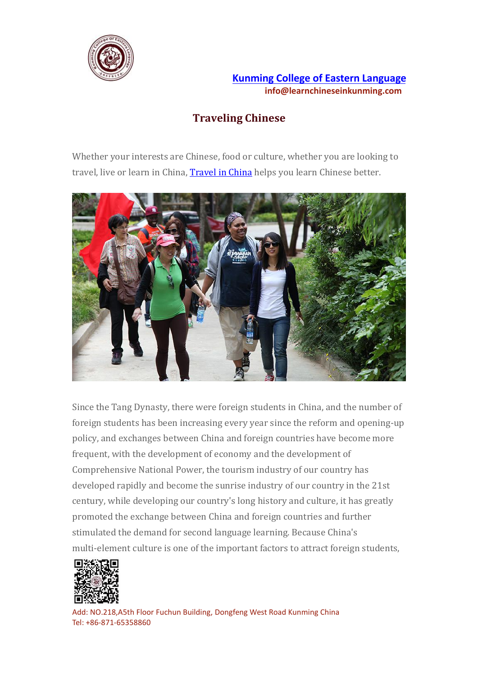

## **Kunming College of Eastern [Language](https://www.learnchineseinkunming.com/) info@learnchineseinkunming.com**

## **Traveling Chinese**

Whether your interests are Chinese, food or culture, whether you are looking to travel, live or learn in China, [Travel](https://www.learnchineseinkunming.com/traveling-chinese.html) in China helps you learn Chinese better.



Since the Tang Dynasty, there were foreign students in China, and the number of foreign students has been increasing every year since the reform and opening-up policy, and exchanges between China and foreign countries have become more frequent, with the development of economy and the development of Comprehensive National Power, the tourism industry of our country has developed rapidly and become the sunrise industry of our country in the 21st century, while developing our country's long history and culture, it has greatly promoted the exchange between China and foreign countries and further stimulated the demand for second language learning. Because China's multi-element culture is one of the important factors to attract foreign students,



Add: NO.218,A5th Floor Fuchun Building, Dongfeng West Road Kunming China Tel: +86-871-65358860